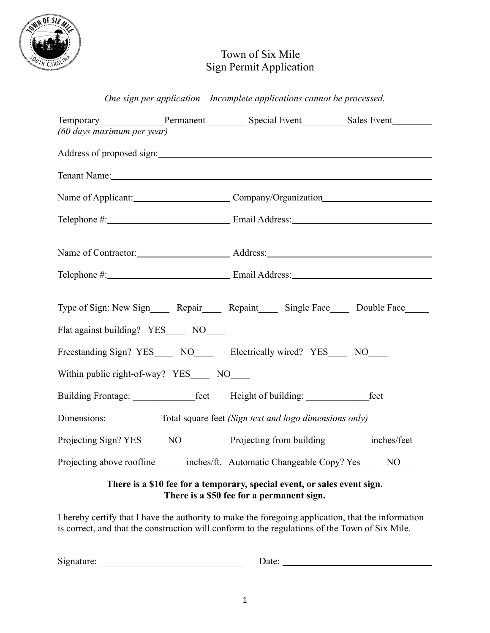

## Town of Six Mile Sign Permit Application

*One sign per application – Incomplete applications cannot be processed.*

| (60 days maximum per year)                                                      |  | Temporary ____________________Permanent ______________Special Event _____________ Sales Event ____________                                                                                                                     |  |
|---------------------------------------------------------------------------------|--|--------------------------------------------------------------------------------------------------------------------------------------------------------------------------------------------------------------------------------|--|
|                                                                                 |  | Address of proposed sign:                                                                                                                                                                                                      |  |
|                                                                                 |  | Tenant Name: Name and Second Contract of the Contract of the Contract of the Contract of the Contract of the Contract of the Contract of the Contract of the Contract of the Contract of the Contract of the Contract of the C |  |
|                                                                                 |  | Name of Applicant: Company/Organization                                                                                                                                                                                        |  |
|                                                                                 |  |                                                                                                                                                                                                                                |  |
|                                                                                 |  |                                                                                                                                                                                                                                |  |
|                                                                                 |  |                                                                                                                                                                                                                                |  |
| Flat against building? YES_____ NO____                                          |  | Type of Sign: New Sign______ Repair______ Repaint______ Single Face______ Double Face_____                                                                                                                                     |  |
|                                                                                 |  | Freestanding Sign? YES______ NO_________ Electrically wired? YES______ NO_____                                                                                                                                                 |  |
| Within public right-of-way? YES NO                                              |  |                                                                                                                                                                                                                                |  |
|                                                                                 |  | Building Frontage: ________________feet Height of building: ________________feet                                                                                                                                               |  |
| Dimensions: _____________Total square feet (Sign text and logo dimensions only) |  |                                                                                                                                                                                                                                |  |
|                                                                                 |  |                                                                                                                                                                                                                                |  |
|                                                                                 |  | Projecting above roofline _______ inches/ft. Automatic Changeable Copy? Yes ______ NO_____                                                                                                                                     |  |
| There is a \$10 fee for a temporary, special event, or sales event sign.        |  |                                                                                                                                                                                                                                |  |

**There is a \$50 fee for a permanent sign.**

I hereby certify that I have the authority to make the foregoing application, that the information is correct, and that the construction will conform to the regulations of the Town of Six Mile.

Signature: \_\_\_\_\_\_\_\_\_\_\_\_\_\_\_\_\_\_\_\_\_\_\_\_\_\_\_\_\_\_ Date: